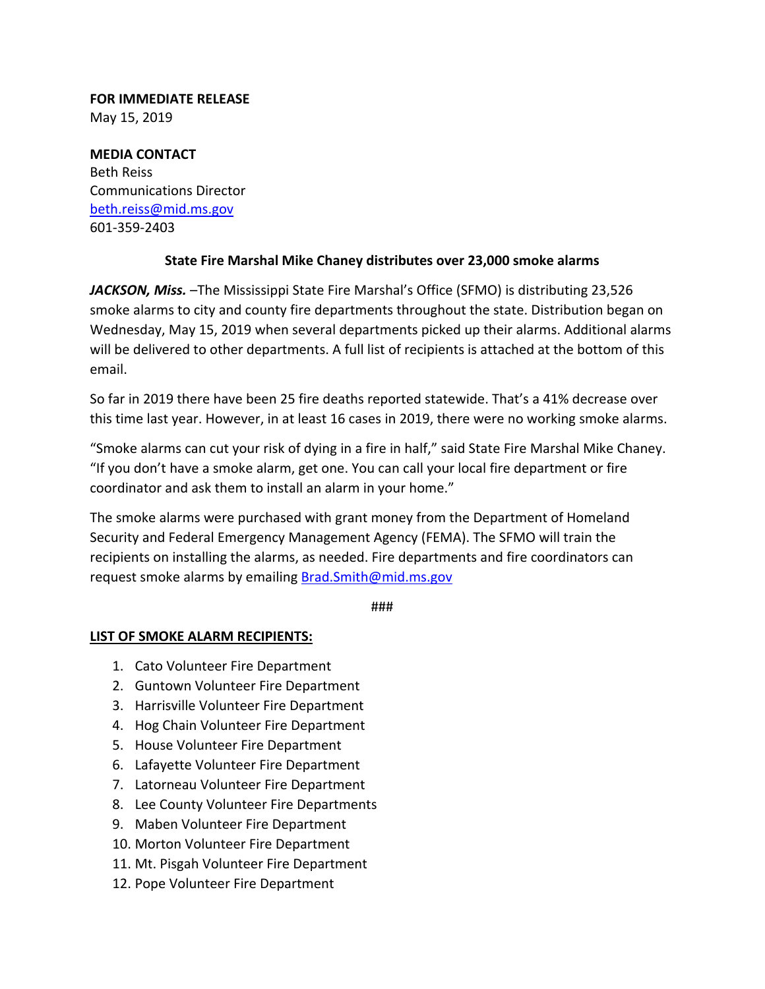## **FOR IMMEDIATE RELEASE** May 15, 2019

**MEDIA CONTACT** Beth Reiss Communications Director beth.reiss@mid.ms.gov 601‐359‐2403

## **State Fire Marshal Mike Chaney distributes over 23,000 smoke alarms**

*JACKSON, Miss.* –The Mississippi State Fire Marshal's Office (SFMO) is distributing 23,526 smoke alarms to city and county fire departments throughout the state. Distribution began on Wednesday, May 15, 2019 when several departments picked up their alarms. Additional alarms will be delivered to other departments. A full list of recipients is attached at the bottom of this email.

So far in 2019 there have been 25 fire deaths reported statewide. That's a 41% decrease over this time last year. However, in at least 16 cases in 2019, there were no working smoke alarms.

"Smoke alarms can cut your risk of dying in a fire in half," said State Fire Marshal Mike Chaney. "If you don't have a smoke alarm, get one. You can call your local fire department or fire coordinator and ask them to install an alarm in your home."

The smoke alarms were purchased with grant money from the Department of Homeland Security and Federal Emergency Management Agency (FEMA). The SFMO will train the recipients on installing the alarms, as needed. Fire departments and fire coordinators can request smoke alarms by emailing Brad.Smith@mid.ms.gov

###

## **LIST OF SMOKE ALARM RECIPIENTS:**

- 1. Cato Volunteer Fire Department
- 2. Guntown Volunteer Fire Department
- 3. Harrisville Volunteer Fire Department
- 4. Hog Chain Volunteer Fire Department
- 5. House Volunteer Fire Department
- 6. Lafayette Volunteer Fire Department
- 7. Latorneau Volunteer Fire Department
- 8. Lee County Volunteer Fire Departments
- 9. Maben Volunteer Fire Department
- 10. Morton Volunteer Fire Department
- 11. Mt. Pisgah Volunteer Fire Department
- 12. Pope Volunteer Fire Department